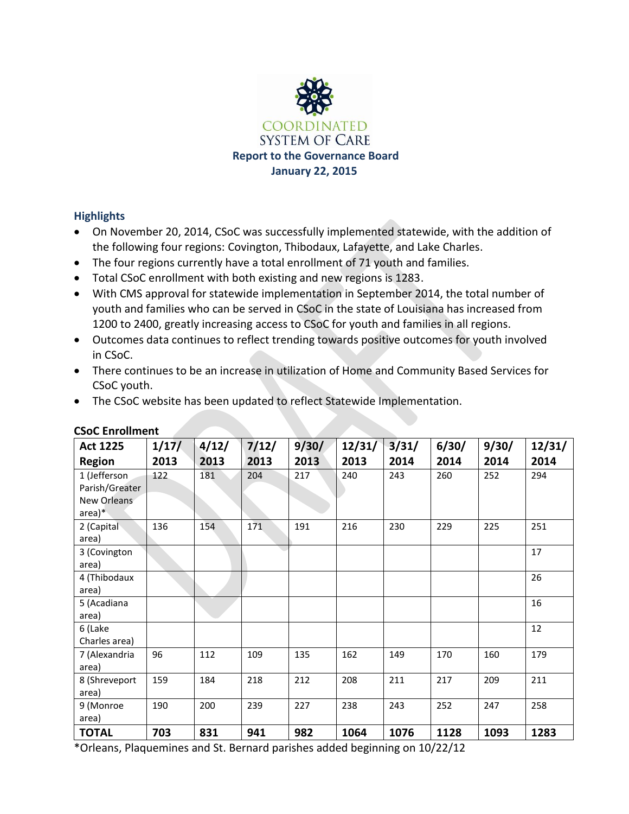

### **Highlights**

- On November 20, 2014, CSoC was successfully implemented statewide, with the addition of the following four regions: Covington, Thibodaux, Lafayette, and Lake Charles.
- The four regions currently have a total enrollment of 71 youth and families.
- Total CSoC enrollment with both existing and new regions is 1283.
- With CMS approval for statewide implementation in September 2014, the total number of youth and families who can be served in CSoC in the state of Louisiana has increased from 1200 to 2400, greatly increasing access to CSoC for youth and families in all regions.
- Outcomes data continues to reflect trending towards positive outcomes for youth involved in CSoC.
- There continues to be an increase in utilization of Home and Community Based Services for CSoC youth.
- The CSoC website has been updated to reflect Statewide Implementation.

| <b>Act 1225</b>                                           | 1/17/ | 4/12/ | 7/12/ | 9/30/ | 12/31/ | 3/31/ | 6/30/ | 9/30/ | 12/31/ |
|-----------------------------------------------------------|-------|-------|-------|-------|--------|-------|-------|-------|--------|
| <b>Region</b>                                             | 2013  | 2013  | 2013  | 2013  | 2013   | 2014  | 2014  | 2014  | 2014   |
| 1 (Jefferson<br>Parish/Greater<br>New Orleans<br>$area)*$ | 122   | 181   | 204   | 217   | 240    | 243   | 260   | 252   | 294    |
| 2 (Capital<br>area)                                       | 136   | 154   | 171   | 191   | 216    | 230   | 229   | 225   | 251    |
| 3 (Covington<br>area)                                     |       |       |       |       |        |       |       |       | 17     |
| 4 (Thibodaux<br>area)                                     |       |       |       |       |        |       |       |       | 26     |
| 5 (Acadiana<br>area)                                      |       |       |       |       |        |       |       |       | 16     |
| 6 (Lake<br>Charles area)                                  |       |       |       |       |        |       |       |       | 12     |
| 7 (Alexandria<br>area)                                    | 96    | 112   | 109   | 135   | 162    | 149   | 170   | 160   | 179    |
| 8 (Shreveport<br>area)                                    | 159   | 184   | 218   | 212   | 208    | 211   | 217   | 209   | 211    |
| 9 (Monroe<br>area)                                        | 190   | 200   | 239   | 227   | 238    | 243   | 252   | 247   | 258    |
| <b>TOTAL</b>                                              | 703   | 831   | 941   | 982   | 1064   | 1076  | 1128  | 1093  | 1283   |

#### **CSoC Enrollment**

\*Orleans, Plaquemines and St. Bernard parishes added beginning on 10/22/12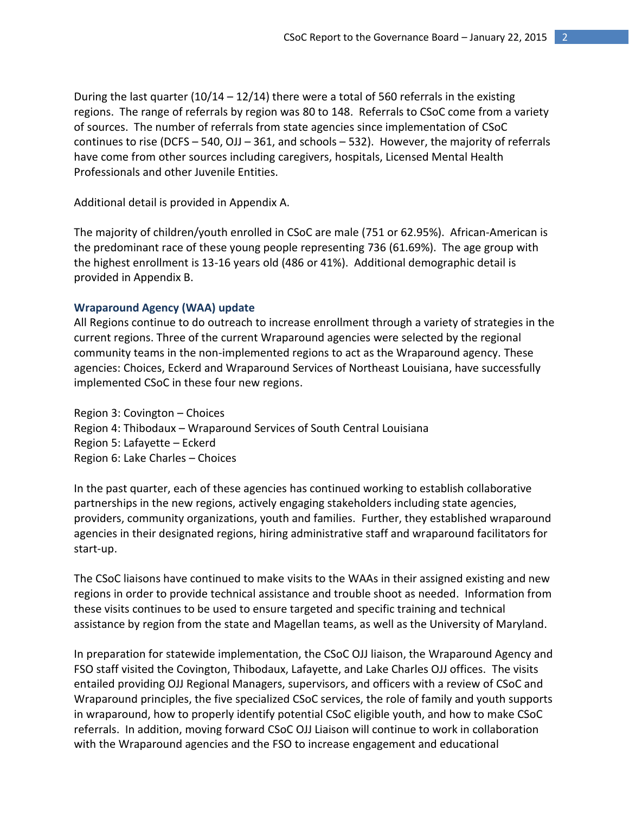During the last quarter  $(10/14 - 12/14)$  there were a total of 560 referrals in the existing regions. The range of referrals by region was 80 to 148. Referrals to CSoC come from a variety of sources. The number of referrals from state agencies since implementation of CSoC continues to rise (DCFS – 540, OJJ – 361, and schools – 532). However, the majority of referrals have come from other sources including caregivers, hospitals, Licensed Mental Health Professionals and other Juvenile Entities.

Additional detail is provided in Appendix A.

The majority of children/youth enrolled in CSoC are male (751 or 62.95%). African-American is the predominant race of these young people representing 736 (61.69%). The age group with the highest enrollment is 13-16 years old (486 or 41%). Additional demographic detail is provided in Appendix B.

#### **Wraparound Agency (WAA) update**

All Regions continue to do outreach to increase enrollment through a variety of strategies in the current regions. Three of the current Wraparound agencies were selected by the regional community teams in the non-implemented regions to act as the Wraparound agency. These agencies: Choices, Eckerd and Wraparound Services of Northeast Louisiana, have successfully implemented CSoC in these four new regions.

Region 3: Covington – Choices Region 4: Thibodaux – Wraparound Services of South Central Louisiana Region 5: Lafayette – Eckerd Region 6: Lake Charles – Choices

In the past quarter, each of these agencies has continued working to establish collaborative partnerships in the new regions, actively engaging stakeholders including state agencies, providers, community organizations, youth and families. Further, they established wraparound agencies in their designated regions, hiring administrative staff and wraparound facilitators for start-up.

The CSoC liaisons have continued to make visits to the WAAs in their assigned existing and new regions in order to provide technical assistance and trouble shoot as needed. Information from these visits continues to be used to ensure targeted and specific training and technical assistance by region from the state and Magellan teams, as well as the University of Maryland.

In preparation for statewide implementation, the CSoC OJJ liaison, the Wraparound Agency and FSO staff visited the Covington, Thibodaux, Lafayette, and Lake Charles OJJ offices. The visits entailed providing OJJ Regional Managers, supervisors, and officers with a review of CSoC and Wraparound principles, the five specialized CSoC services, the role of family and youth supports in wraparound, how to properly identify potential CSoC eligible youth, and how to make CSoC referrals. In addition, moving forward CSoC OJJ Liaison will continue to work in collaboration with the Wraparound agencies and the FSO to increase engagement and educational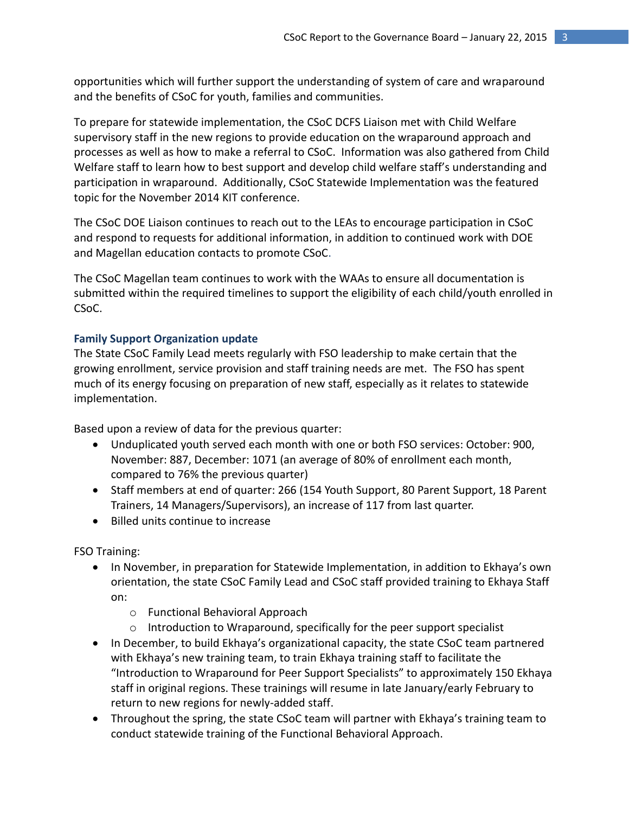opportunities which will further support the understanding of system of care and wraparound and the benefits of CSoC for youth, families and communities.

To prepare for statewide implementation, the CSoC DCFS Liaison met with Child Welfare supervisory staff in the new regions to provide education on the wraparound approach and processes as well as how to make a referral to CSoC. Information was also gathered from Child Welfare staff to learn how to best support and develop child welfare staff's understanding and participation in wraparound. Additionally, CSoC Statewide Implementation was the featured topic for the November 2014 KIT conference.

The CSoC DOE Liaison continues to reach out to the LEAs to encourage participation in CSoC and respond to requests for additional information, in addition to continued work with DOE and Magellan education contacts to promote CSoC.

The CSoC Magellan team continues to work with the WAAs to ensure all documentation is submitted within the required timelines to support the eligibility of each child/youth enrolled in CSoC.

#### **Family Support Organization update**

The State CSoC Family Lead meets regularly with FSO leadership to make certain that the growing enrollment, service provision and staff training needs are met. The FSO has spent much of its energy focusing on preparation of new staff, especially as it relates to statewide implementation.

Based upon a review of data for the previous quarter:

- Unduplicated youth served each month with one or both FSO services: October: 900, November: 887, December: 1071 (an average of 80% of enrollment each month, compared to 76% the previous quarter)
- Staff members at end of quarter: 266 (154 Youth Support, 80 Parent Support, 18 Parent Trainers, 14 Managers/Supervisors), an increase of 117 from last quarter.
- Billed units continue to increase

FSO Training:

- In November, in preparation for Statewide Implementation, in addition to Ekhaya's own orientation, the state CSoC Family Lead and CSoC staff provided training to Ekhaya Staff on:
	- o Functional Behavioral Approach
	- o Introduction to Wraparound, specifically for the peer support specialist
- In December, to build Ekhaya's organizational capacity, the state CSoC team partnered with Ekhaya's new training team, to train Ekhaya training staff to facilitate the "Introduction to Wraparound for Peer Support Specialists" to approximately 150 Ekhaya staff in original regions. These trainings will resume in late January/early February to return to new regions for newly-added staff.
- Throughout the spring, the state CSoC team will partner with Ekhaya's training team to conduct statewide training of the Functional Behavioral Approach.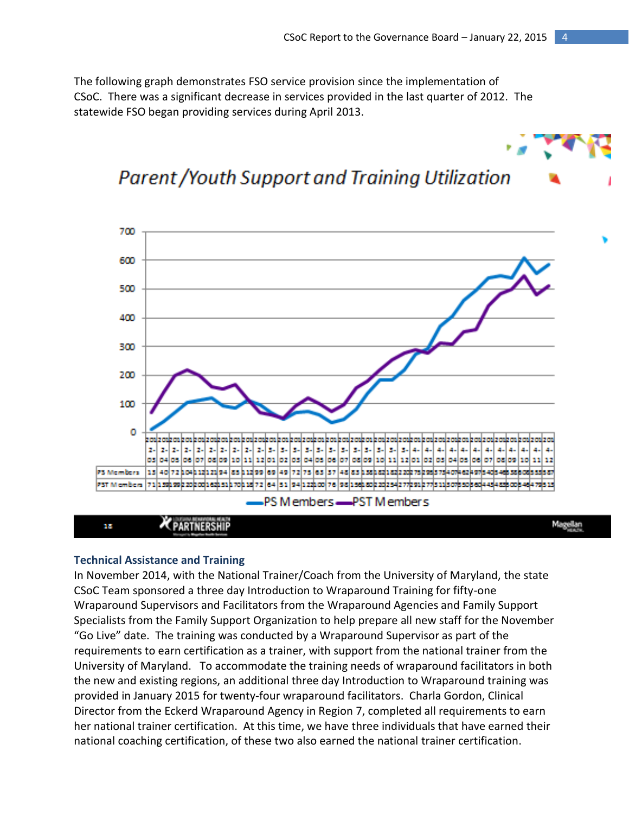The following graph demonstrates FSO service provision since the implementation of CSoC. There was a significant decrease in services provided in the last quarter of 2012. The statewide FSO began providing services during April 2013.

#### 700 600 500 400 300 200 100 ο -24 44 4.  $\mathbf{H}$ 12 PS Microberg 125 40 72 104 12 12 13 4 5 4 5 5 12 13 14 5 6 7 8 7 8 7 8 7 8 7 8 7 8 7 8 8 7 8 8 8 8 8 8 8 8 8 8 8 8 8 8 8 8 PST Microbins PS M embers - PST M embers **KPARTNERSHIP** Magellan щy

### **Parent / Youth Support and Training Utilization**

#### **Technical Assistance and Training**

In November 2014, with the National Trainer/Coach from the University of Maryland, the state CSoC Team sponsored a three day Introduction to Wraparound Training for fifty-one Wraparound Supervisors and Facilitators from the Wraparound Agencies and Family Support Specialists from the Family Support Organization to help prepare all new staff for the November "Go Live" date. The training was conducted by a Wraparound Supervisor as part of the requirements to earn certification as a trainer, with support from the national trainer from the University of Maryland. To accommodate the training needs of wraparound facilitators in both the new and existing regions, an additional three day Introduction to Wraparound training was provided in January 2015 for twenty-four wraparound facilitators. Charla Gordon, Clinical Director from the Eckerd Wraparound Agency in Region 7, completed all requirements to earn her national trainer certification. At this time, we have three individuals that have earned their national coaching certification, of these two also earned the national trainer certification.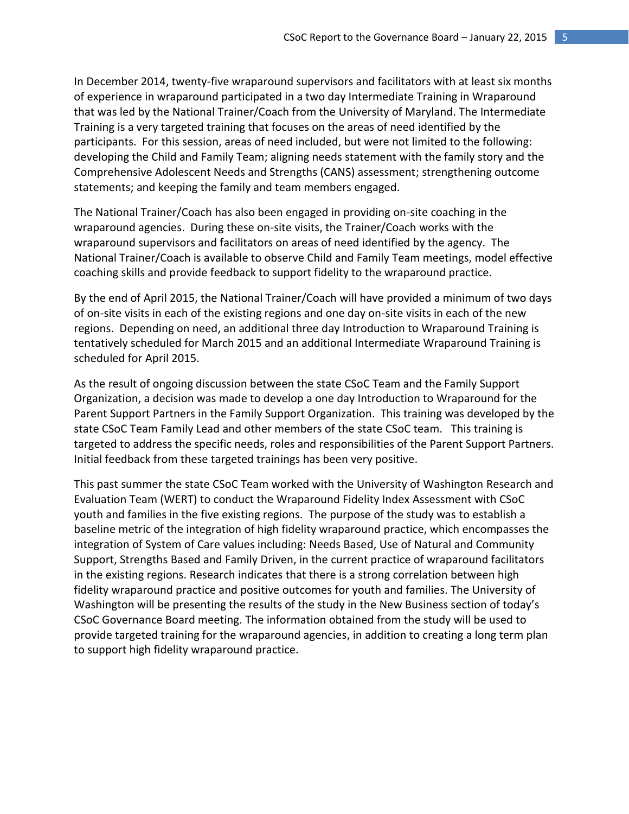In December 2014, twenty-five wraparound supervisors and facilitators with at least six months of experience in wraparound participated in a two day Intermediate Training in Wraparound that was led by the National Trainer/Coach from the University of Maryland. The Intermediate Training is a very targeted training that focuses on the areas of need identified by the participants. For this session, areas of need included, but were not limited to the following: developing the Child and Family Team; aligning needs statement with the family story and the Comprehensive Adolescent Needs and Strengths (CANS) assessment; strengthening outcome statements; and keeping the family and team members engaged.

The National Trainer/Coach has also been engaged in providing on-site coaching in the wraparound agencies. During these on-site visits, the Trainer/Coach works with the wraparound supervisors and facilitators on areas of need identified by the agency. The National Trainer/Coach is available to observe Child and Family Team meetings, model effective coaching skills and provide feedback to support fidelity to the wraparound practice.

By the end of April 2015, the National Trainer/Coach will have provided a minimum of two days of on-site visits in each of the existing regions and one day on-site visits in each of the new regions. Depending on need, an additional three day Introduction to Wraparound Training is tentatively scheduled for March 2015 and an additional Intermediate Wraparound Training is scheduled for April 2015.

As the result of ongoing discussion between the state CSoC Team and the Family Support Organization, a decision was made to develop a one day Introduction to Wraparound for the Parent Support Partners in the Family Support Organization. This training was developed by the state CSoC Team Family Lead and other members of the state CSoC team. This training is targeted to address the specific needs, roles and responsibilities of the Parent Support Partners. Initial feedback from these targeted trainings has been very positive.

This past summer the state CSoC Team worked with the University of Washington Research and Evaluation Team (WERT) to conduct the Wraparound Fidelity Index Assessment with CSoC youth and families in the five existing regions. The purpose of the study was to establish a baseline metric of the integration of high fidelity wraparound practice, which encompasses the integration of System of Care values including: Needs Based, Use of Natural and Community Support, Strengths Based and Family Driven, in the current practice of wraparound facilitators in the existing regions. Research indicates that there is a strong correlation between high fidelity wraparound practice and positive outcomes for youth and families. The University of Washington will be presenting the results of the study in the New Business section of today's CSoC Governance Board meeting. The information obtained from the study will be used to provide targeted training for the wraparound agencies, in addition to creating a long term plan to support high fidelity wraparound practice.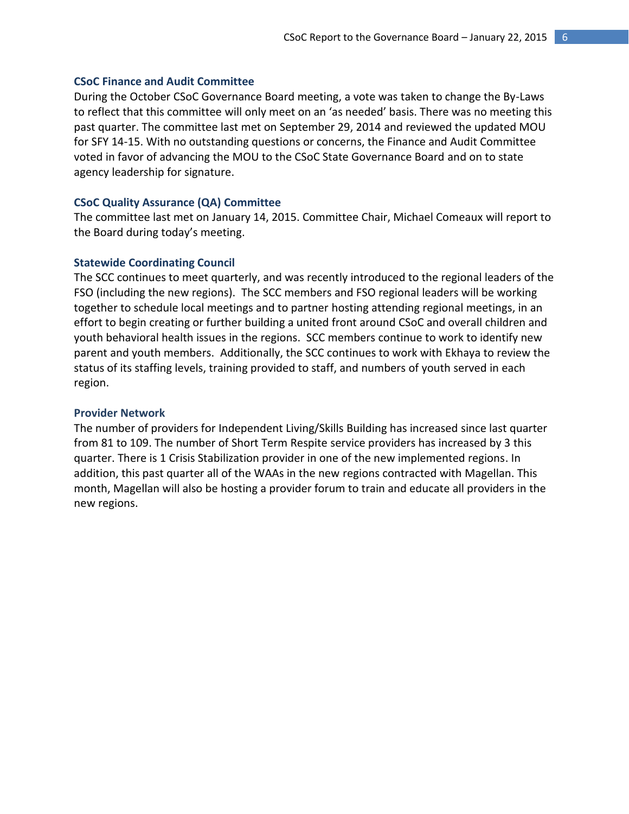#### **CSoC Finance and Audit Committee**

During the October CSoC Governance Board meeting, a vote was taken to change the By-Laws to reflect that this committee will only meet on an 'as needed' basis. There was no meeting this past quarter. The committee last met on September 29, 2014 and reviewed the updated MOU for SFY 14-15. With no outstanding questions or concerns, the Finance and Audit Committee voted in favor of advancing the MOU to the CSoC State Governance Board and on to state agency leadership for signature.

#### **CSoC Quality Assurance (QA) Committee**

The committee last met on January 14, 2015. Committee Chair, Michael Comeaux will report to the Board during today's meeting.

#### **Statewide Coordinating Council**

The SCC continues to meet quarterly, and was recently introduced to the regional leaders of the FSO (including the new regions). The SCC members and FSO regional leaders will be working together to schedule local meetings and to partner hosting attending regional meetings, in an effort to begin creating or further building a united front around CSoC and overall children and youth behavioral health issues in the regions. SCC members continue to work to identify new parent and youth members. Additionally, the SCC continues to work with Ekhaya to review the status of its staffing levels, training provided to staff, and numbers of youth served in each region.

#### **Provider Network**

The number of providers for Independent Living/Skills Building has increased since last quarter from 81 to 109. The number of Short Term Respite service providers has increased by 3 this quarter. There is 1 Crisis Stabilization provider in one of the new implemented regions. In addition, this past quarter all of the WAAs in the new regions contracted with Magellan. This month, Magellan will also be hosting a provider forum to train and educate all providers in the new regions.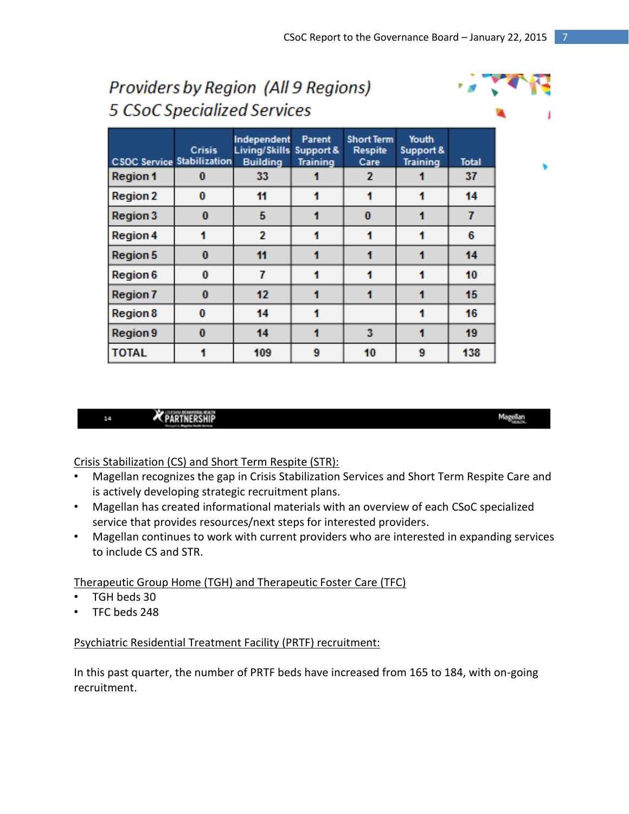| 5 CSoC Specialized Services       |               |                                                 |                                        |                                             |                                       |              |
|-----------------------------------|---------------|-------------------------------------------------|----------------------------------------|---------------------------------------------|---------------------------------------|--------------|
| <b>CSOC Service Stabilization</b> | <b>Crisis</b> | Independent<br>Living/Skills<br><b>Building</b> | Parent<br>Support &<br><b>Training</b> | <b>Short Term</b><br><b>Respite</b><br>Care | Youth<br>Support &<br><b>Training</b> | <b>Total</b> |
| <b>Region 1</b>                   | 0             | 33                                              |                                        | 2                                           |                                       | 37           |
| <b>Region 2</b>                   | 0             | 11                                              |                                        |                                             |                                       | 14           |
| <b>Region 3</b>                   | $\bf{0}$      | 5                                               |                                        | $\bf{0}$                                    |                                       | 7            |
| <b>Region 4</b>                   | 1             | $\overline{2}$                                  | 1                                      |                                             |                                       | 6            |
| <b>Region 5</b>                   | $\bf{0}$      | 11                                              |                                        |                                             |                                       | 14           |
| <b>Region 6</b>                   | 0             | 7                                               |                                        |                                             |                                       | 10           |
| <b>Region 7</b>                   | $\bf{0}$      | 12                                              |                                        |                                             |                                       | 15           |
| <b>Region 8</b>                   | 0             | 14                                              |                                        |                                             |                                       | 16           |
| <b>Region 9</b>                   | $\bf{0}$      | 14                                              | 1                                      | 3                                           | 1                                     | 19           |
| <b>TOTAL</b>                      |               | 109                                             | 9                                      | 10                                          | 9                                     | 138          |

# Providers by Region (All 9 Regions)

#### **X** PARTNERSHIP 14

Crisis Stabilization (CS) and Short Term Respite (STR):

- Magellan recognizes the gap in Crisis Stabilization Services and Short Term Respite Care and is actively developing strategic recruitment plans.
- Magellan has created informational materials with an overview of each CSoC specialized service that provides resources/next steps for interested providers.
- Magellan continues to work with current providers who are interested in expanding services to include CS and STR.

Therapeutic Group Home (TGH) and Therapeutic Foster Care (TFC)

- TGH beds 30
- TFC beds 248

Psychiatric Residential Treatment Facility (PRTF) recruitment:

In this past quarter, the number of PRTF beds have increased from 165 to 184, with on-going recruitment.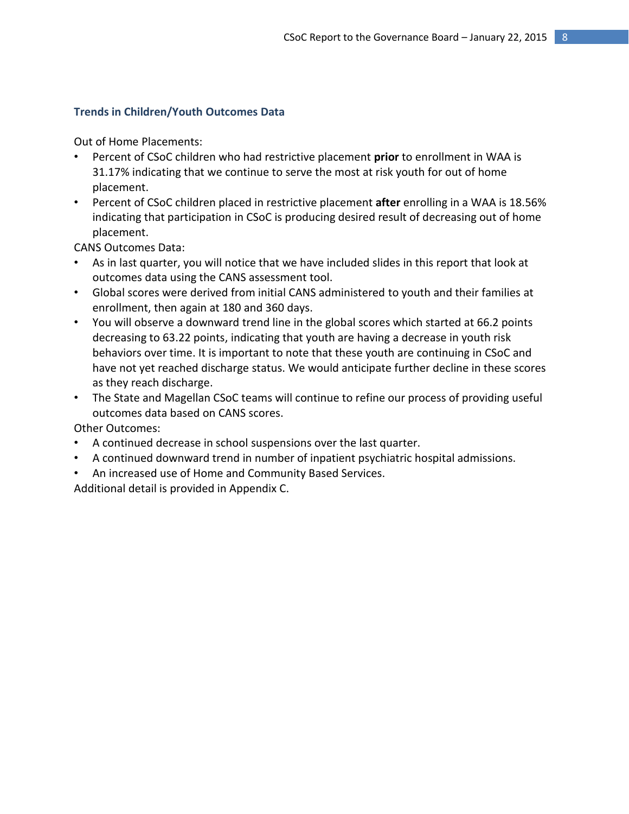#### **Trends in Children/Youth Outcomes Data**

Out of Home Placements:

- Percent of CSoC children who had restrictive placement **prior** to enrollment in WAA is 31.17% indicating that we continue to serve the most at risk youth for out of home placement.
- Percent of CSoC children placed in restrictive placement **after** enrolling in a WAA is 18.56% indicating that participation in CSoC is producing desired result of decreasing out of home placement.

CANS Outcomes Data:

- As in last quarter, you will notice that we have included slides in this report that look at outcomes data using the CANS assessment tool.
- Global scores were derived from initial CANS administered to youth and their families at enrollment, then again at 180 and 360 days.
- You will observe a downward trend line in the global scores which started at 66.2 points decreasing to 63.22 points, indicating that youth are having a decrease in youth risk behaviors over time. It is important to note that these youth are continuing in CSoC and have not yet reached discharge status. We would anticipate further decline in these scores as they reach discharge.
- The State and Magellan CSoC teams will continue to refine our process of providing useful outcomes data based on CANS scores.

Other Outcomes:

- A continued decrease in school suspensions over the last quarter.
- A continued downward trend in number of inpatient psychiatric hospital admissions.
- An increased use of Home and Community Based Services.

Additional detail is provided in Appendix C.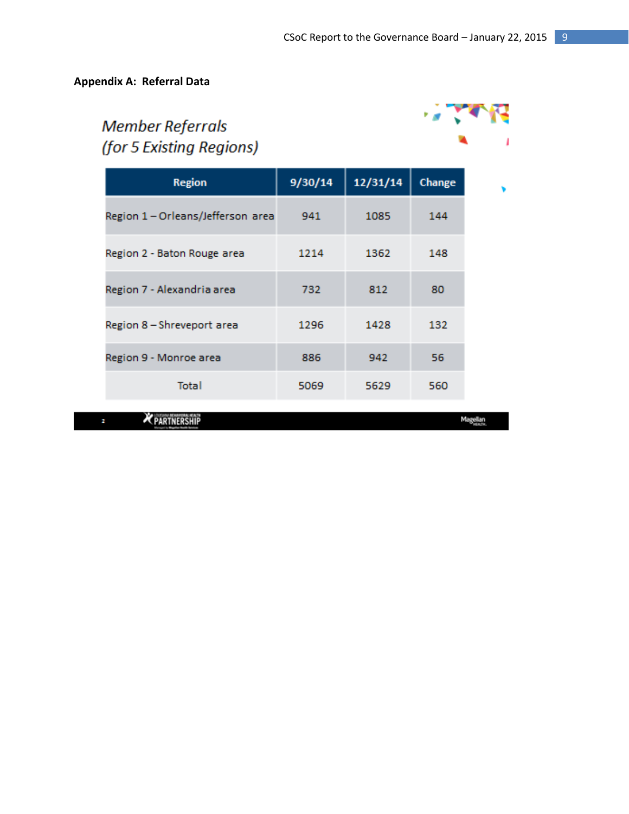### **Appendix A: Referral Data**

## **Member Referrals** (for 5 Existing Regions)



| <b>Region</b>                     | 9/30/14 | 12/31/14 | Change |  |
|-----------------------------------|---------|----------|--------|--|
| Region 1 - Orleans/Jefferson area | 941     | 1085     | 144    |  |
| Region 2 - Baton Rouge area       | 1214    | 1362     | 148    |  |
| Region 7 - Alexandria area        | 732     | 812      | 80     |  |
| Region 8 - Shreveport area        | 1296    | 1428     | 132    |  |
| Region 9 - Monroe area            | 886     | 942      | 56     |  |
| Total                             | 5069    | 5629     | 560    |  |

PARTNERSHIP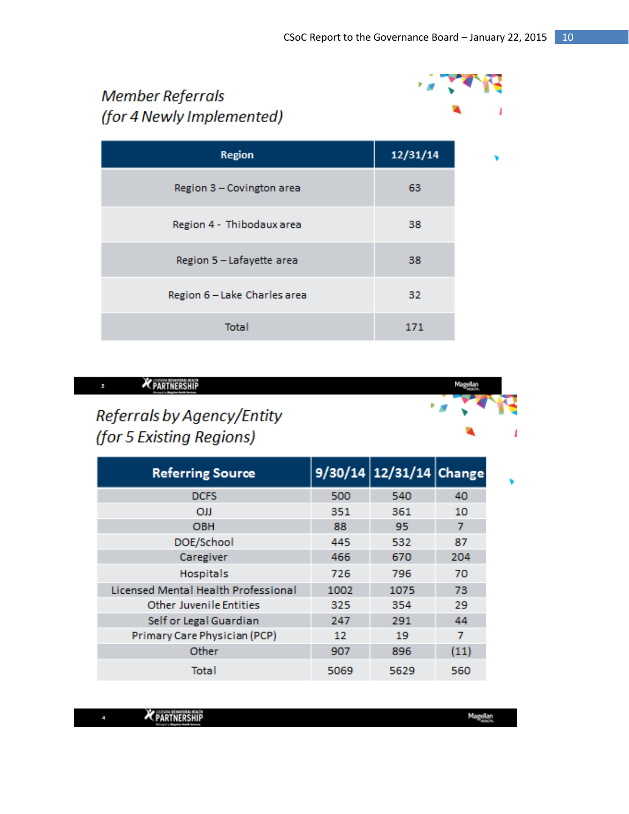### **Member Referrals** (for 4 Newly Implemented) 12/31/14 **Region** Region 3 - Covington area 63 Region 4 - Thibodaux area 38 Region 5 - Lafayette area 38 Region 6 - Lake Charles area 32 **Total** 171



| <b>Referring Source</b>             |      | 9/30/14 12/31/14 Change |      |
|-------------------------------------|------|-------------------------|------|
| <b>DCFS</b>                         | 500  | 540                     | 40   |
| <b>OII</b>                          | 351  | 361                     | 10   |
| <b>OBH</b>                          | 88   | 95                      | 7    |
| DOE/School                          | 445  | 532                     | 87   |
| Caregiver                           | 466  | 670                     | 204  |
| <b>Hospitals</b>                    | 726  | 796                     | 70   |
| Licensed Mental Health Professional | 1002 | 1075                    | 73   |
| <b>Other Juvenile Entities</b>      | 325  | 354                     | 29   |
| Self or Legal Guardian              | 247  | 291                     | 44   |
| Primary Care Physician (PCP)        | 12   | 19                      | 7    |
| Other                               | 907  | 896                     | (11) |
| Total                               | 5069 | 5629                    | 560  |

|                      | <b>A REPORT OF CANCER</b> |  |
|----------------------|---------------------------|--|
| <b>K PARTNERSHIP</b> |                           |  |
|                      |                           |  |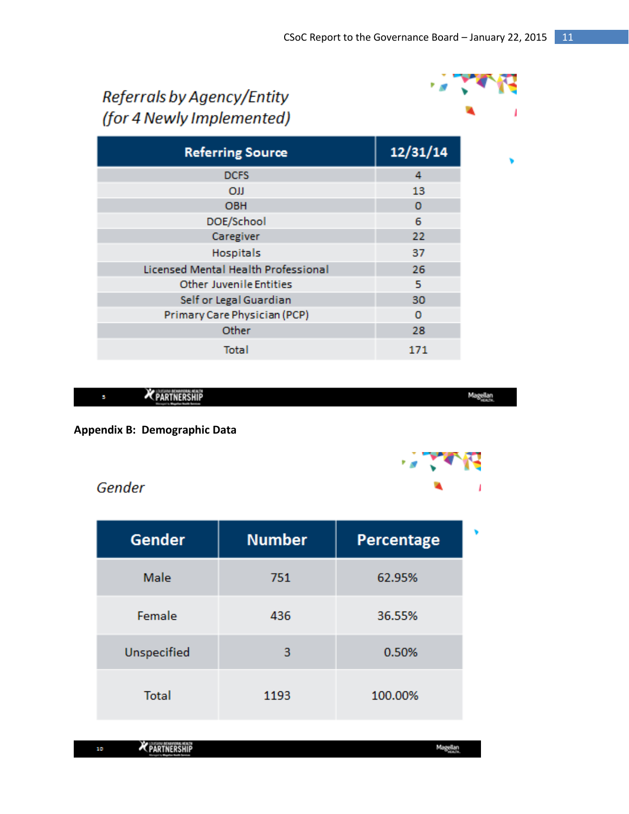## Referrals by Agency/Entity (for 4 Newly Implemented)



۷

| <b>Referring Source</b>                    | 12/31/14 |
|--------------------------------------------|----------|
| <b>DCFS</b>                                | 4        |
| <b>OJJ</b>                                 | 13       |
| <b>OBH</b>                                 | 0        |
| DOE/School                                 | 6        |
| Caregiver                                  | 22       |
| <b>Hospitals</b>                           | 37       |
| <b>Licensed Mental Health Professional</b> | 26       |
| <b>Other Juvenile Entities</b>             | 5.       |
| Self or Legal Guardian                     | 30       |
| Primary Care Physician (PCP)               | o        |
| Other                                      | 28       |
| Total                                      | 171      |



Magellan

**Appendix B: Demographic Data**

### Gender

| Gender       | <b>Number</b> | Percentage |  |
|--------------|---------------|------------|--|
| Male         | 751           | 62.95%     |  |
| Female       | 436           | 36.55%     |  |
| Unspecified  | 3             | 0.50%      |  |
| <b>Total</b> | 1193          | 100.00%    |  |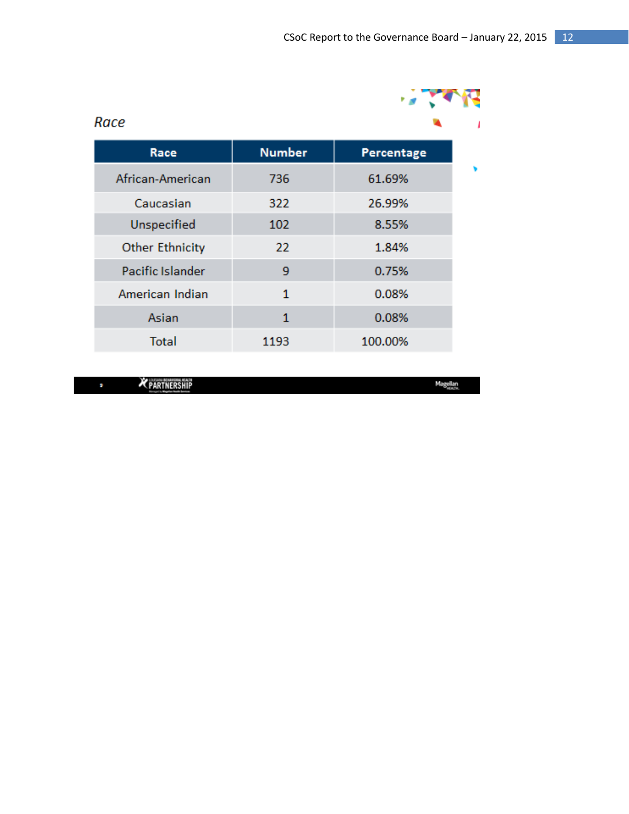| Race                   |               |            |  |
|------------------------|---------------|------------|--|
| Race                   | <b>Number</b> | Percentage |  |
| African-American       | 736           | 61.69%     |  |
| Caucasian              | 322           | 26.99%     |  |
| Unspecified            | 102           | 8.55%      |  |
| <b>Other Ethnicity</b> | 22            | 1.84%      |  |
| Pacific Islander       | 9             | 0.75%      |  |
| American Indian        | $\mathbf{1}$  | 0.08%      |  |
| Asian                  | 1             | 0.08%      |  |
| <b>Total</b>           | 1193          | 100.00%    |  |

PARTNERSHIP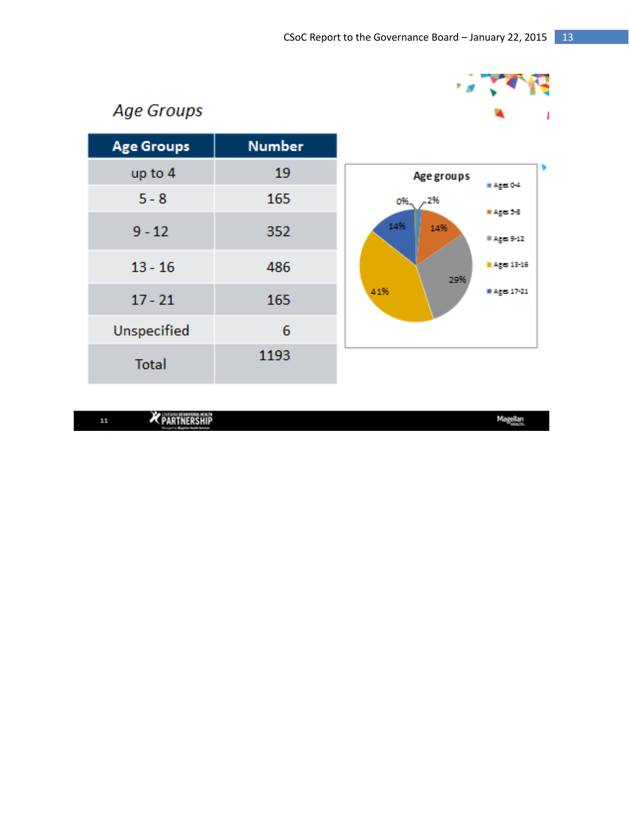

### **Age Groups**

| <b>Age Groups</b> | <b>Number</b> |
|-------------------|---------------|
| up to 4           | 19            |
| $5 - 8$           | 165           |
| $9 - 12$          | 352           |
| $13 - 16$         | 486           |
| $17 - 21$         | 165           |
| Unspecified       | 6             |
| <b>Total</b>      | 1193          |



PARTNERSHIP  $\mathbf{n}$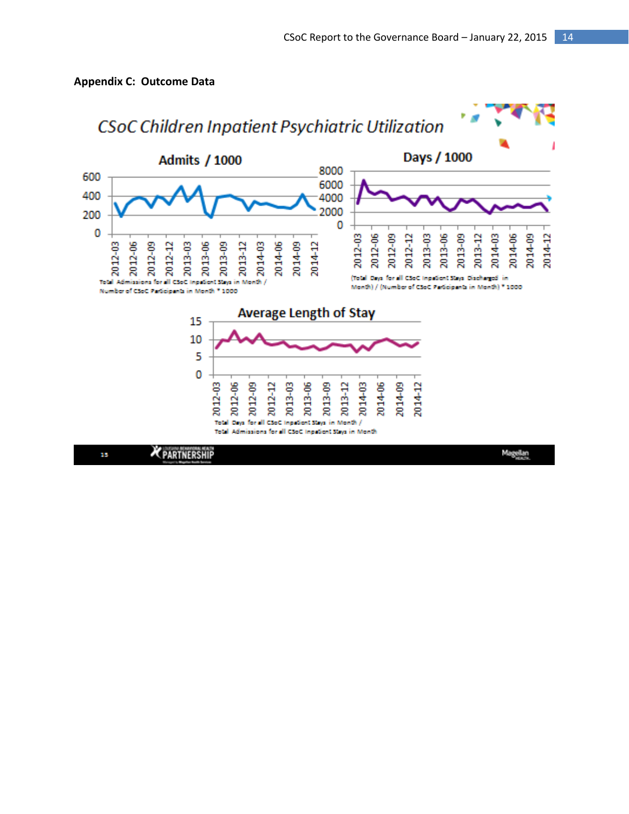

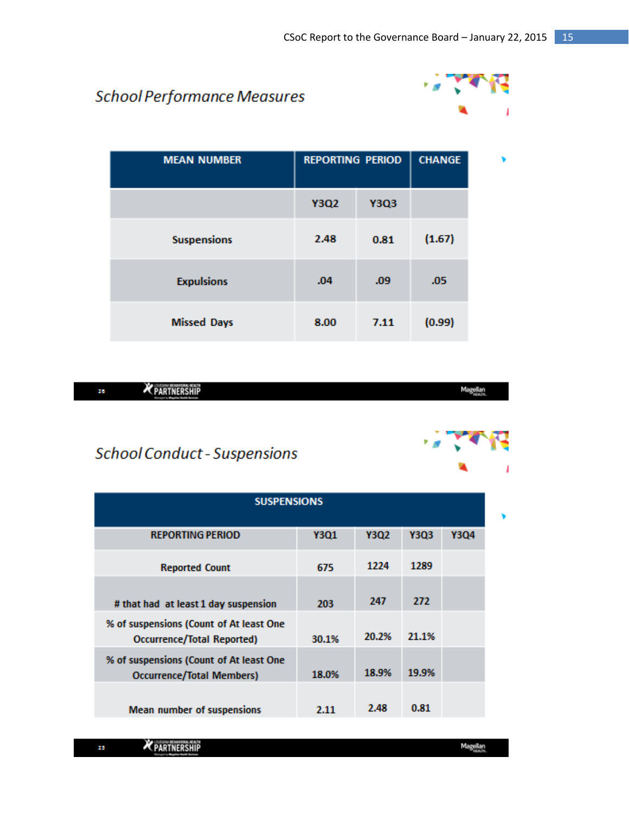### **School Performance Measures**



| <b>MEAN NUMBER</b> | <b>REPORTING PERIOD</b> |             | <b>CHANGE</b>    |  |
|--------------------|-------------------------|-------------|------------------|--|
|                    | <b>Y3Q2</b>             | <b>Y3Q3</b> |                  |  |
| <b>Suspensions</b> | 2.48                    | 0.81        | (1.67)           |  |
| <b>Expulsions</b>  | .04                     | .09         | .05 <sub>0</sub> |  |
| <b>Missed Days</b> | 8.00                    | 7.11        | (0.99)           |  |

**X** PARTNERSHIP **Magellan** 26

### **School Conduct - Suspensions**

| <b>SUSPENSIONS</b>                                                          |             |       |             |      |  |  |
|-----------------------------------------------------------------------------|-------------|-------|-------------|------|--|--|
| <b>REPORTING PERIOD</b>                                                     | <b>Y3Q1</b> | Y3Q2  | <b>Y3Q3</b> | Y3Q4 |  |  |
| <b>Reported Count</b>                                                       | 675         | 1224  | 1289        |      |  |  |
| # that had at least 1 day suspension                                        | 203         | 247   | 272         |      |  |  |
| % of suspensions (Count of At least One<br>Occurrence/Total Reported)       | 30.1%       | 20.2% | 21.1%       |      |  |  |
| % of suspensions (Count of At least One<br><b>Occurrence/Total Members)</b> | 18.0%       | 18.9% | 19.9%       |      |  |  |
| <b>Mean number of suspensions</b>                                           | 2.11        | 2.48  | 0.81        |      |  |  |

PARTNERSHIP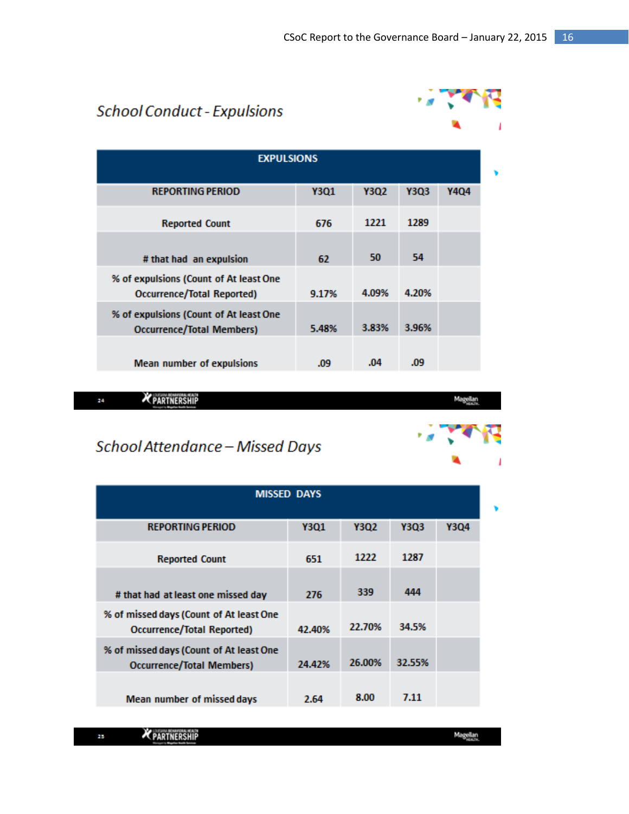$\mathcal{L}(\mathcal{A})$ 

 $\mathbf{v}_1$ 

### **School Conduct - Expulsions**

| <b>EXPULSIONS</b>                                                    |       |       |       |      |  |
|----------------------------------------------------------------------|-------|-------|-------|------|--|
| <b>REPORTING PERIOD</b>                                              | Y301  | Y3Q2  | Y3Q3  | Y404 |  |
| <b>Reported Count</b>                                                | 676   | 1221  | 1289  |      |  |
| # that had an expulsion                                              | 62    | 50    | 54    |      |  |
| % of expulsions (Count of At least One<br>Occurrence/Total Reported) | 9.17% | 4.09% | 4.20% |      |  |
| % of expulsions (Count of At least One<br>Occurrence/Total Members)  | 5.48% | 3.83% | 3.96% |      |  |
| <b>Mean number of expulsions</b>                                     | .09   | .04   | .09   |      |  |

**X** PARTNERSHIP 26



۱,

### School Attendance - Missed Days

| <b>MISSED DAYS</b>                                                           |             |        |             |      |
|------------------------------------------------------------------------------|-------------|--------|-------------|------|
| <b>REPORTING PERIOD</b>                                                      | <b>Y301</b> | Y3Q2   | <b>Y3Q3</b> | Y3Q4 |
| <b>Reported Count</b>                                                        | 651         | 1222   | 1287        |      |
| # that had at least one missed day                                           | 276         | 339    | 444         |      |
| % of missed days (Count of At least One<br><b>Occurrence/Total Reported)</b> | 42.40%      | 22.70% | 34.5%       |      |
| % of missed days (Count of At least One<br><b>Occurrence/Total Members)</b>  | 24.42%      | 26.00% | 32.55%      |      |
| Mean number of missed days                                                   | 2.64        | 8.00   | 7.11        |      |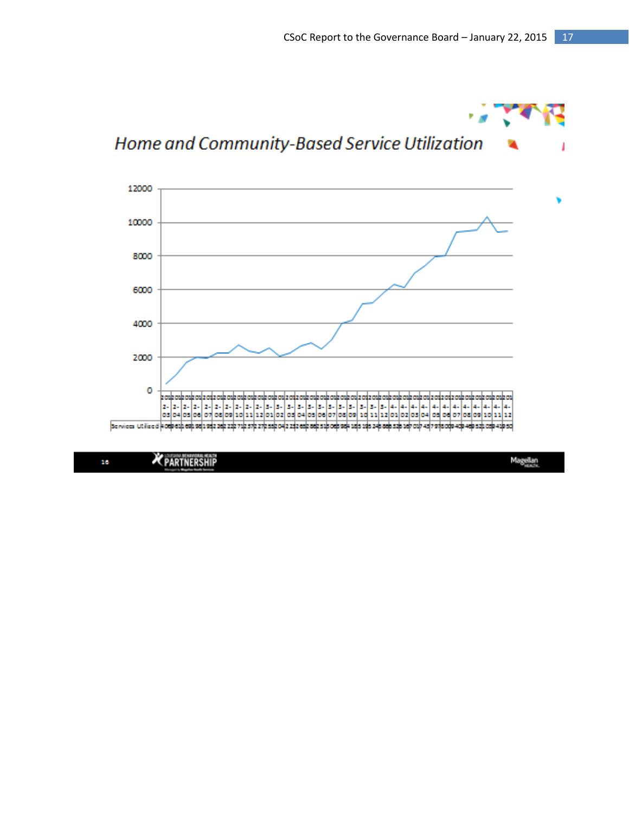